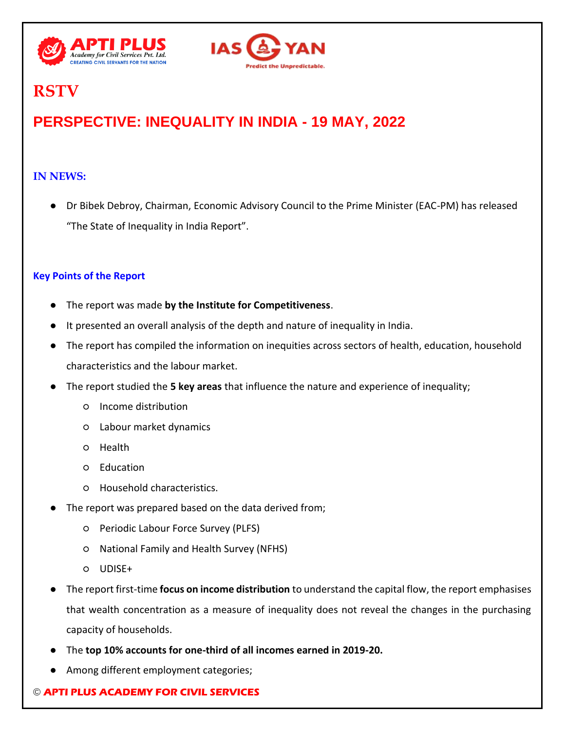



# **RSTV**

## **PERSPECTIVE: INEQUALITY IN INDIA - 19 MAY, 2022**

## **IN NEWS:**

● Dr Bibek Debroy, Chairman, Economic Advisory Council to the Prime Minister (EAC-PM) has released "The State of Inequality in India Report".

## **Key Points of the Report**

- The report was made by the Institute for Competitiveness.
- It presented an overall analysis of the depth and nature of inequality in India.
- The report has compiled the information on inequities across sectors of health, education, household characteristics and the labour market.
- The report studied the **5 key areas** that influence the nature and experience of inequality;
	- Income distribution
	- Labour market dynamics
	- Health
	- Education
	- Household characteristics.
- The report was prepared based on the data derived from;
	- Periodic Labour Force Survey (PLFS)
	- National Family and Health Survey (NFHS)
	- UDISE+
- The report first-time **focus on income distribution** to understand the capital flow, the report emphasises that wealth concentration as a measure of inequality does not reveal the changes in the purchasing capacity of households.
- The **top 10% accounts for one-third of all incomes earned in 2019-20.**
- Among different employment categories;

### © **APTI PLUS ACADEMY FOR CIVIL SERVICES**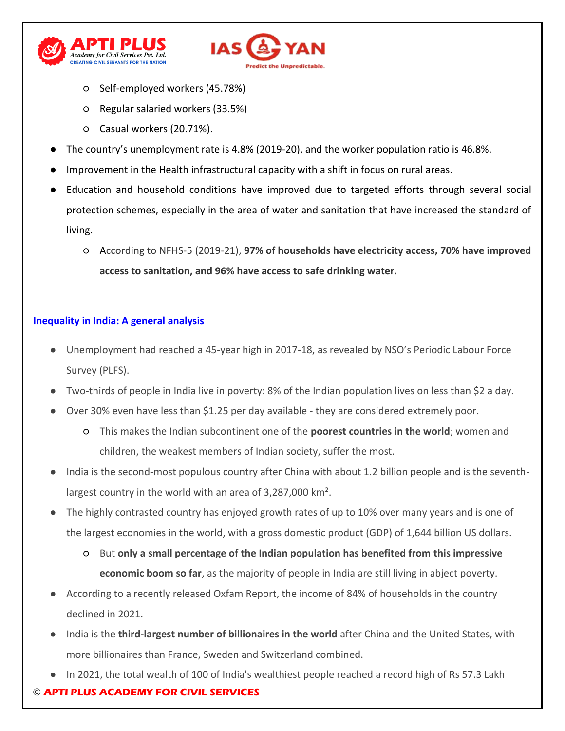



- Self-employed workers (45.78%)
- Regular salaried workers (33.5%)
- Casual workers (20.71%).
- The country's unemployment rate is 4.8% (2019-20), and the worker population ratio is 46.8%.
- Improvement in the Health infrastructural capacity with a shift in focus on rural areas.
- Education and household conditions have improved due to targeted efforts through several social protection schemes, especially in the area of water and sanitation that have increased the standard of living.
	- According to NFHS-5 (2019-21), **97% of households have electricity access, 70% have improved access to sanitation, and 96% have access to safe drinking water.**

#### **Inequality in India: A general analysis**

- Unemployment had reached a 45-year high in 2017-18, as revealed by NSO's Periodic Labour Force Survey (PLFS).
- Two-thirds of people in India live in poverty: 8% of the Indian population lives on less than \$2 a day.
- Over 30% even have less than \$1.25 per day available they are considered extremely poor.
	- This makes the Indian subcontinent one of the **poorest countries in the world**; women and children, the weakest members of Indian society, suffer the most.
- India is the second-most populous country after China with about 1.2 billion people and is the seventhlargest country in the world with an area of 3,287,000 km².
- The highly contrasted country has enjoyed growth rates of up to 10% over many years and is one of the largest economies in the world, with a gross domestic product (GDP) of 1,644 billion US dollars.
	- But **only a small percentage of the Indian population has benefited from this impressive economic boom so far**, as the majority of people in India are still living in abject poverty.
- According to a recently released Oxfam Report, the income of 84% of households in the country declined in 2021.
- India is the **third-largest number of billionaires in the world** after China and the United States, with more billionaires than France, Sweden and Switzerland combined.
- In 2021, the total wealth of 100 of India's wealthiest people reached a record high of Rs 57.3 Lakh

### © **APTI PLUS ACADEMY FOR CIVIL SERVICES**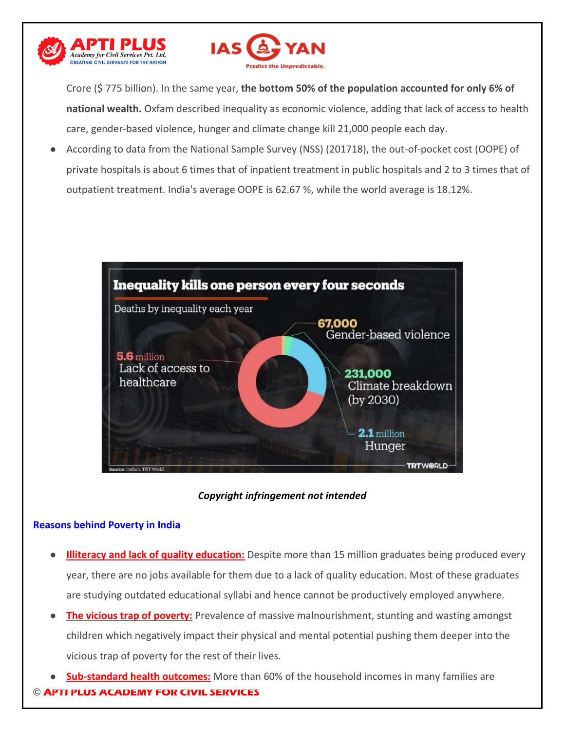



Crore (\$ 775 billion). In the same year, **the bottom 50% of the population accounted for only 6% of national wealth.** Oxfam described inequality as economic violence, adding that lack of access to health care, gender-based violence, hunger and climate change kill 21,000 people each day.

● According to data from the National Sample Survey (NSS) (201718), the out-of-pocket cost (OOPE) of private hospitals is about 6 times that of inpatient treatment in public hospitals and 2 to 3 times that of outpatient treatment. India's average OOPE is 62.67 %, while the world average is 18.12%.



#### *Copyright infringement not intended*

#### **Reasons behind Poverty in India**

- **Illiteracy and lack of quality education:** Despite more than 15 million graduates being produced every year, there are no jobs available for them due to a lack of quality education. Most of these graduates are studying outdated educational syllabi and hence cannot be productively employed anywhere.
- **The vicious trap of poverty:** Prevalence of massive malnourishment, stunting and wasting amongst children which negatively impact their physical and mental potential pushing them deeper into the vicious trap of poverty for the rest of their lives.
- © **APTI PLUS ACADEMY FOR CIVIL SERVICES Sub-standard health outcomes:** More than 60% of the household incomes in many families are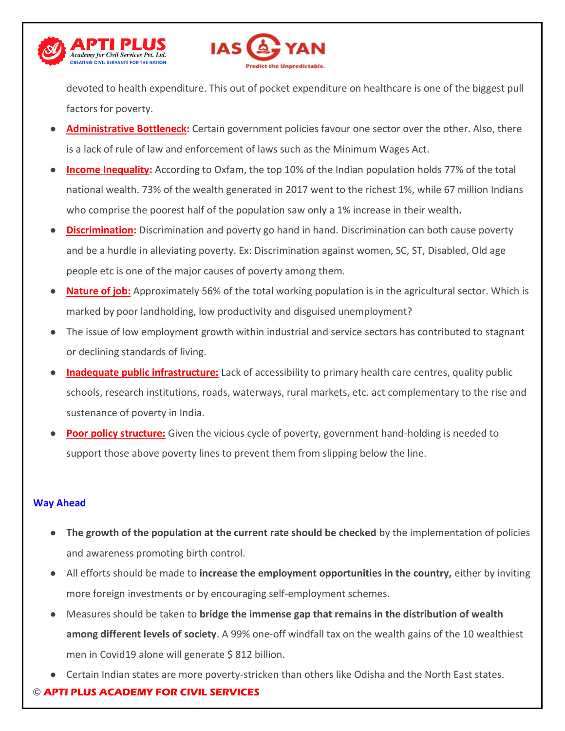



devoted to health expenditure. This out of pocket expenditure on healthcare is one of the biggest pull factors for poverty.

- Administrative Bottleneck: Certain government policies favour one sector over the other. Also, there is a lack of rule of law and enforcement of laws such as the Minimum Wages Act.
- **Income Inequality:** According to Oxfam, the top 10% of the Indian population holds 77% of the total national wealth. 73% of the wealth generated in 2017 went to the richest 1%, while 67 million Indians who comprise the poorest half of the population saw only a 1% increase in their wealth**.**
- **Discrimination:** Discrimination and poverty go hand in hand. Discrimination can both cause poverty and be a hurdle in alleviating poverty. Ex: Discrimination against women, SC, ST, Disabled, Old age people etc is one of the major causes of poverty among them.
- **Nature of job:** Approximately 56% of the total working population is in the agricultural sector. Which is marked by poor landholding, low productivity and disguised unemployment?
- The issue of low employment growth within industrial and service sectors has contributed to stagnant or declining standards of living.
- **Inadequate public infrastructure:** Lack of accessibility to primary health care centres, quality public schools, research institutions, roads, waterways, rural markets, etc. act complementary to the rise and sustenance of poverty in India.
- **Poor policy structure:** Given the vicious cycle of poverty, government hand-holding is needed to support those above poverty lines to prevent them from slipping below the line.

#### **Way Ahead**

- **The growth of the population at the current rate should be checked** by the implementation of policies and awareness promoting birth control.
- All efforts should be made to **increase the employment opportunities in the country,** either by inviting more foreign investments or by encouraging self-employment schemes.
- Measures should be taken to **bridge the immense gap that remains in the distribution of wealth among different levels of society**. A 99% one-off windfall tax on the wealth gains of the 10 wealthiest men in Covid19 alone will generate \$812 billion.
- Certain Indian states are more poverty-stricken than others like Odisha and the North East states.

### © **APTI PLUS ACADEMY FOR CIVIL SERVICES**